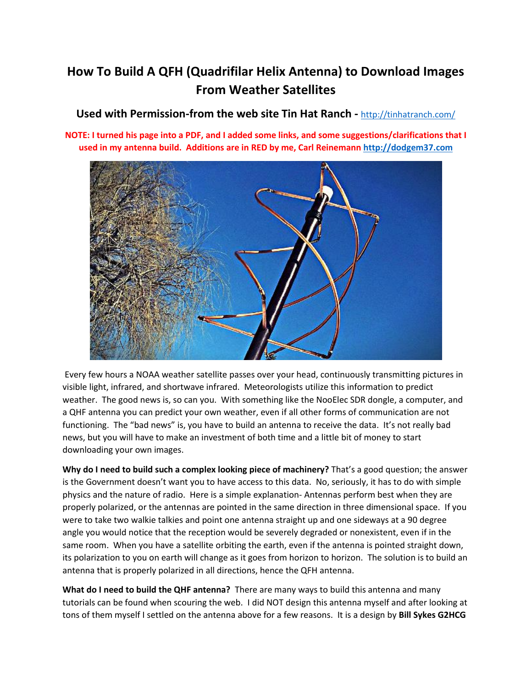# **How To Build A QFH (Quadrifilar Helix Antenna) to Download Images From Weather Satellites**

## **Used with Permission-from the web site Tin Hat Ranch -** <http://tinhatranch.com/>

**NOTE: I turned his page into a PDF, and I added some links, and some suggestions/clarifications that I used in my antenna build. Additions are in RED by me, Carl Reinemann [http://dodgem37.com](http://dodgem37.com/)**



Every few hours a NOAA weather satellite passes over your head, continuously transmitting pictures in visible light, infrared, and shortwave infrared. Meteorologists utilize this information to predict weather. The good news is, so can you. With something like the NooElec SDR dongle, a computer, and a QHF antenna you can predict your own weather, even if all other forms of communication are not functioning. The "bad news" is, you have to build an antenna to receive the data. It's not really bad news, but you will have to make an investment of both time and a little bit of money to start downloading your own images.

**Why do I need to build such a complex looking piece of machinery?** That's a good question; the answer is the Government doesn't want you to have access to this data. No, seriously, it has to do with simple physics and the nature of radio. Here is a simple explanation- Antennas perform best when they are properly polarized, or the antennas are pointed in the same direction in three dimensional space. If you were to take two walkie talkies and point one antenna straight up and one sideways at a 90 degree angle you would notice that the reception would be severely degraded or nonexistent, even if in the same room. When you have a satellite orbiting the earth, even if the antenna is pointed straight down, its polarization to you on earth will change as it goes from horizon to horizon. The solution is to build an antenna that is properly polarized in all directions, hence the QFH antenna.

**What do I need to build the QHF antenna?** There are many ways to build this antenna and many tutorials can be found when scouring the web. I did NOT design this antenna myself and after looking at tons of them myself I settled on the antenna above for a few reasons. It is a design by **Bill Sykes G2HCG**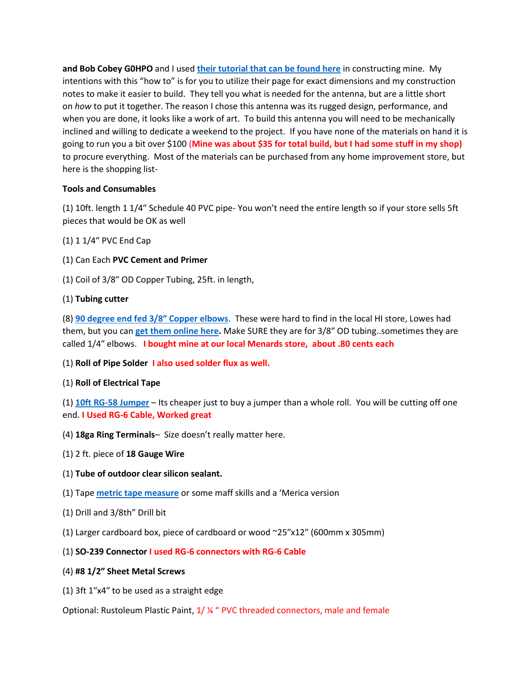**and Bob Cobey G0HPO** and I used **[their tutorial that can be found here](http://www.askrlc.co.uk/)** in constructing mine. My intentions with this "how to" is for you to utilize their page for exact dimensions and my construction notes to make it easier to build. They tell you what is needed for the antenna, but are a little short on *how* to put it together. The reason I chose this antenna was its rugged design, performance, and when you are done, it looks like a work of art. To build this antenna you will need to be mechanically inclined and willing to dedicate a weekend to the project. If you have none of the materials on hand it is going to run you a bit over \$100 (**Mine was about \$35 for total build, but I had some stuff in my shop)** to procure everything. Most of the materials can be purchased from any home improvement store, but here is the shopping list-

#### **Tools and Consumables**

(1) 10ft. length 1 1/4″ Schedule 40 PVC pipe- You won't need the entire length so if your store sells 5ft pieces that would be OK as well

- (1) 1 1/4″ PVC End Cap
- (1) Can Each **PVC Cement and Primer**
- (1) Coil of 3/8″ OD Copper Tubing, 25ft. in length,

#### (1) **Tubing cutter**

(8) **[90 degree end fed 3/8″ Copper elbows](http://goo.gl/vVWfYI)**. These were hard to find in the local HI store, Lowes had them, but you can **[get them online here.](http://goo.gl/vVWfYI)** Make SURE they are for 3/8″ OD tubing..sometimes they are called 1/4″ elbows. **I bought mine at our local Menards store, about .80 cents each**

(1) **Roll of Pipe Solder I also used solder flux as well.**

#### (1) **Roll of Electrical Tape**

(1) **[10ft RG-58 Jumper](http://goo.gl/mtavEu)** – Its cheaper just to buy a jumper than a whole roll. You will be cutting off one end. **I Used RG-6 Cable, Worked great**

(4) **18ga Ring Terminals**– Size doesn't really matter here.

(1) 2 ft. piece of **18 Gauge Wire**

#### (1) **Tube of outdoor clear silicon sealant.**

(1) Tape **[metric tape measure](http://goo.gl/Hspxyb)** or some maff skills and a 'Merica version

- (1) Drill and 3/8th" Drill bit
- (1) Larger cardboard box, piece of cardboard or wood ~25″x12″ (600mm x 305mm)

#### (1) **SO-239 Connector I used RG-6 connectors with RG-6 Cable**

#### (4) **#8 1/2″ Sheet Metal Screws**

(1) 3ft 1″x4″ to be used as a straight edge

Optional: Rustoleum Plastic Paint, 1/ ¼ " PVC threaded connectors, male and female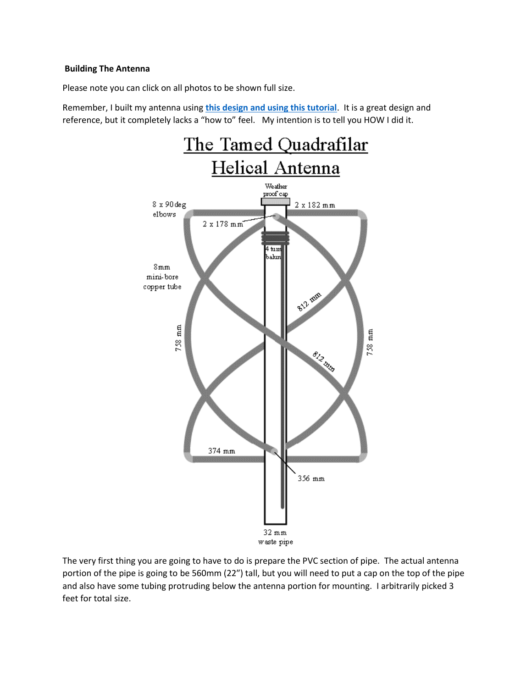#### **Building The Antenna**

Please note you can click on all photos to be shown full size.

Remember, I built my antenna using **[this design and using this tutorial](http://www.askrlc.co.uk/)**. It is a great design and reference, but it completely lacks a "how to" feel. My intention is to tell you HOW I did it.



The very first thing you are going to have to do is prepare the PVC section of pipe. The actual antenna portion of the pipe is going to be 560mm (22″) tall, but you will need to put a cap on the top of the pipe and also have some tubing protruding below the antenna portion for mounting. I arbitrarily picked 3 feet for total size.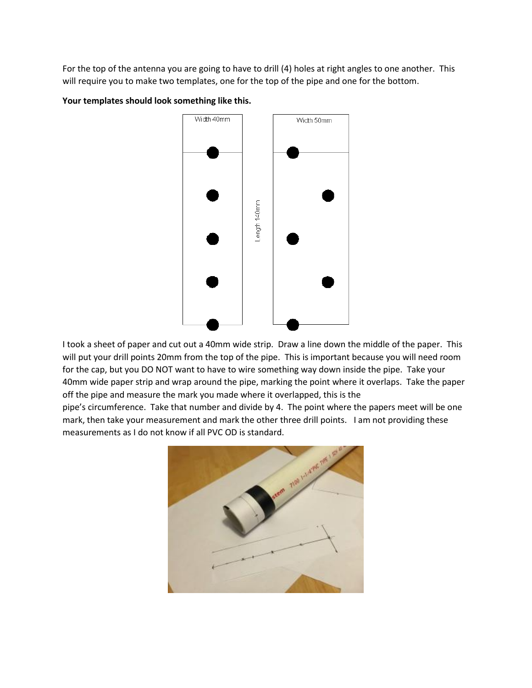For the top of the antenna you are going to have to drill (4) holes at right angles to one another. This will require you to make two templates, one for the top of the pipe and one for the bottom.





I took a sheet of paper and cut out a 40mm wide strip. Draw a line down the middle of the paper. This will put your drill points 20mm from the top of the pipe. This is important because you will need room for the cap, but you DO NOT want to have to wire something way down inside the pipe. Take your 40mm wide paper strip and wrap around the pipe, marking the point where it overlaps. Take the paper off the pipe and measure the mark you made where it overlapped, this is the

pipe's circumference. Take that number and divide by 4. The point where the papers meet will be one mark, then take your measurement and mark the other three drill points. I am not providing these measurements as I do not know if all PVC OD is standard.

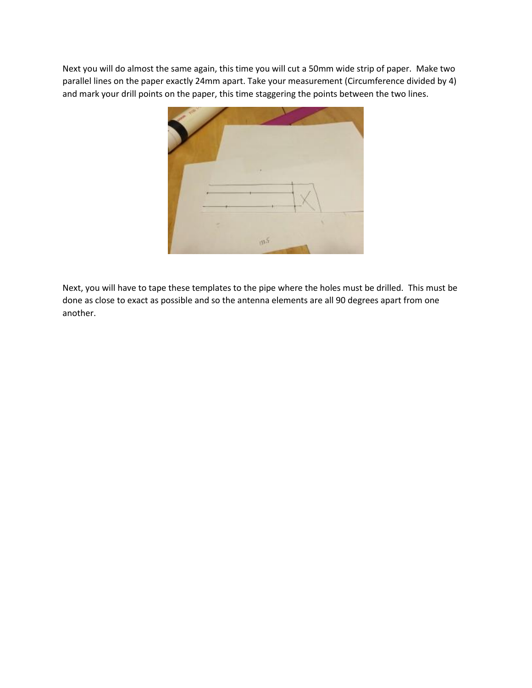Next you will do almost the same again, this time you will cut a 50mm wide strip of paper. Make two parallel lines on the paper exactly 24mm apart. Take your measurement (Circumference divided by 4) and mark your drill points on the paper, this time staggering the points between the two lines.



Next, you will have to tape these templates to the pipe where the holes must be drilled. This must be done as close to exact as possible and so the antenna elements are all 90 degrees apart from one another.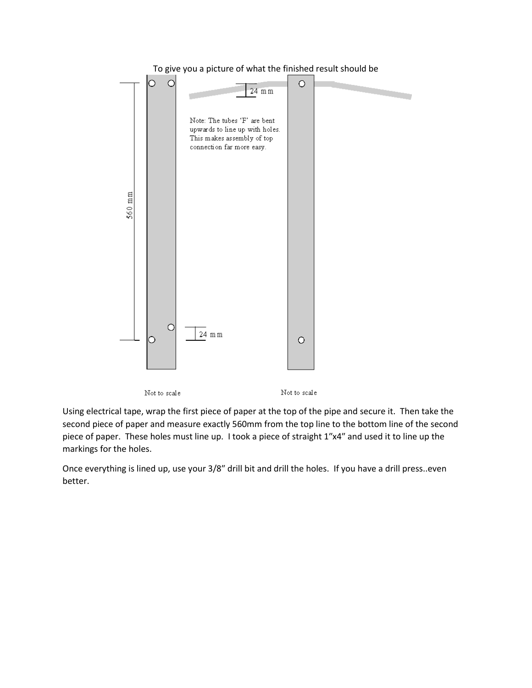

Using electrical tape, wrap the first piece of paper at the top of the pipe and secure it. Then take the second piece of paper and measure exactly 560mm from the top line to the bottom line of the second piece of paper. These holes must line up. I took a piece of straight 1″x4″ and used it to line up the markings for the holes.

Once everything is lined up, use your 3/8″ drill bit and drill the holes. If you have a drill press..even better.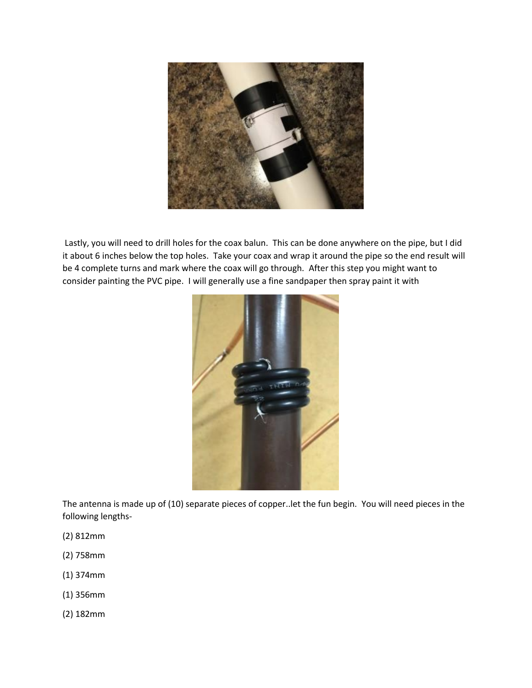

Lastly, you will need to drill holes for the coax balun. This can be done anywhere on the pipe, but I did it about 6 inches below the top holes. Take your coax and wrap it around the pipe so the end result will be 4 complete turns and mark where the coax will go through. After this step you might want to consider painting the PVC pipe. I will generally use a fine sandpaper then spray paint it with



The antenna is made up of (10) separate pieces of copper..let the fun begin. You will need pieces in the following lengths-

- (2) 812mm
- (2) 758mm
- (1) 374mm
- (1) 356mm
- (2) 182mm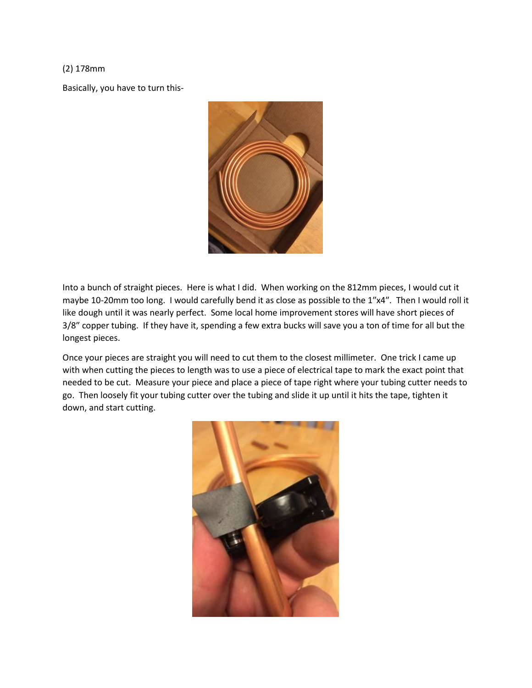(2) 178mm

Basically, you have to turn this-



Into a bunch of straight pieces. Here is what I did. When working on the 812mm pieces, I would cut it maybe 10-20mm too long. I would carefully bend it as close as possible to the 1″x4″. Then I would roll it like dough until it was nearly perfect. Some local home improvement stores will have short pieces of 3/8″ copper tubing. If they have it, spending a few extra bucks will save you a ton of time for all but the longest pieces.

Once your pieces are straight you will need to cut them to the closest millimeter. One trick I came up with when cutting the pieces to length was to use a piece of electrical tape to mark the exact point that needed to be cut. Measure your piece and place a piece of tape right where your tubing cutter needs to go. Then loosely fit your tubing cutter over the tubing and slide it up until it hits the tape, tighten it down, and start cutting.

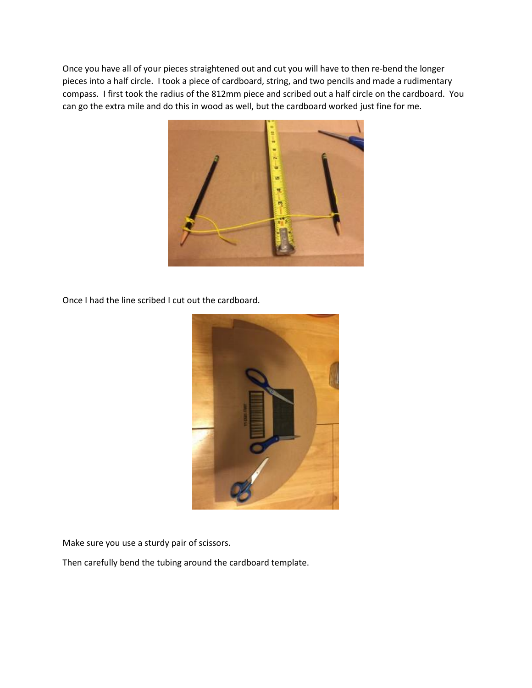Once you have all of your pieces straightened out and cut you will have to then re-bend the longer pieces into a half circle. I took a piece of cardboard, string, and two pencils and made a rudimentary compass. I first took the radius of the 812mm piece and scribed out a half circle on the cardboard. You can go the extra mile and do this in wood as well, but the cardboard worked just fine for me.



Once I had the line scribed I cut out the cardboard.



Make sure you use a sturdy pair of scissors.

Then carefully bend the tubing around the cardboard template.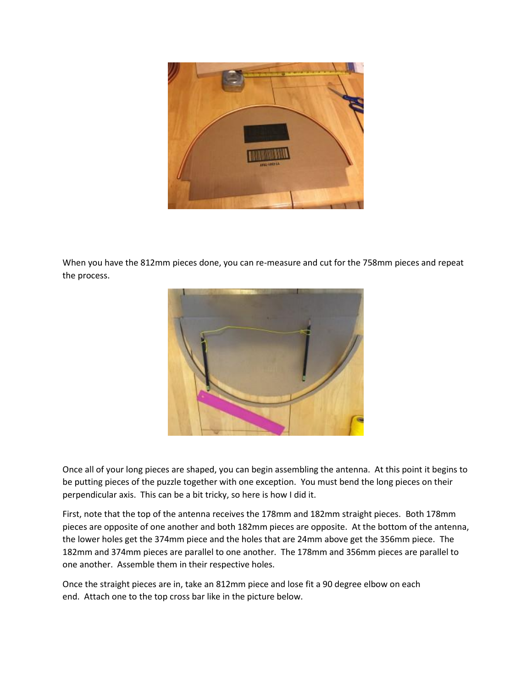

When you have the 812mm pieces done, you can re-measure and cut for the 758mm pieces and repeat the process.



Once all of your long pieces are shaped, you can begin assembling the antenna. At this point it begins to be putting pieces of the puzzle together with one exception. You must bend the long pieces on their perpendicular axis. This can be a bit tricky, so here is how I did it.

First, note that the top of the antenna receives the 178mm and 182mm straight pieces. Both 178mm pieces are opposite of one another and both 182mm pieces are opposite. At the bottom of the antenna, the lower holes get the 374mm piece and the holes that are 24mm above get the 356mm piece. The 182mm and 374mm pieces are parallel to one another. The 178mm and 356mm pieces are parallel to one another. Assemble them in their respective holes.

Once the straight pieces are in, take an 812mm piece and lose fit a 90 degree elbow on each end. Attach one to the top cross bar like in the picture below.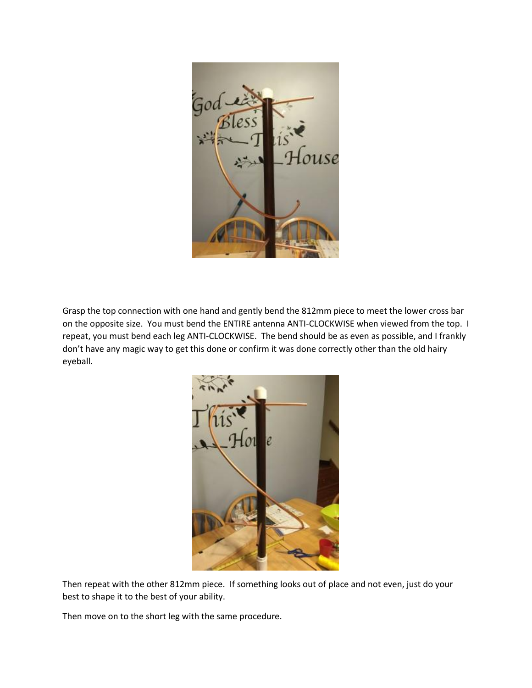

Grasp the top connection with one hand and gently bend the 812mm piece to meet the lower cross bar on the opposite size. You must bend the ENTIRE antenna ANTI-CLOCKWISE when viewed from the top. I repeat, you must bend each leg ANTI-CLOCKWISE. The bend should be as even as possible, and I frankly don't have any magic way to get this done or confirm it was done correctly other than the old hairy eyeball.



Then repeat with the other 812mm piece. If something looks out of place and not even, just do your best to shape it to the best of your ability.

Then move on to the short leg with the same procedure.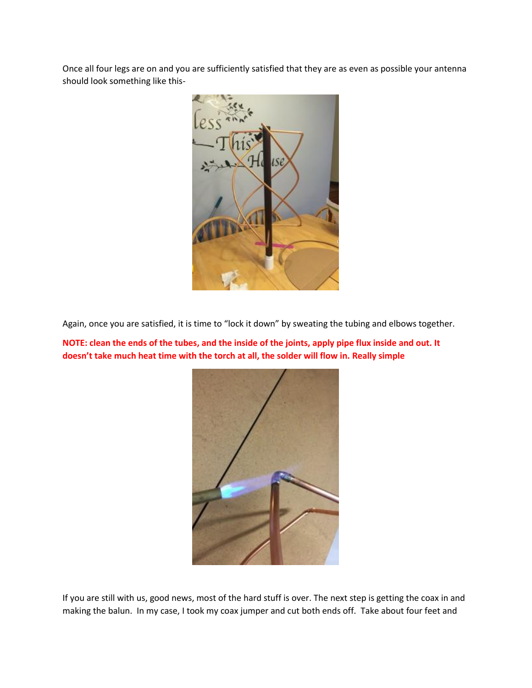Once all four legs are on and you are sufficiently satisfied that they are as even as possible your antenna should look something like this-



Again, once you are satisfied, it is time to "lock it down" by sweating the tubing and elbows together.

**NOTE: clean the ends of the tubes, and the inside of the joints, apply pipe flux inside and out. It doesn't take much heat time with the torch at all, the solder will flow in. Really simple**



If you are still with us, good news, most of the hard stuff is over. The next step is getting the coax in and making the balun. In my case, I took my coax jumper and cut both ends off. Take about four feet and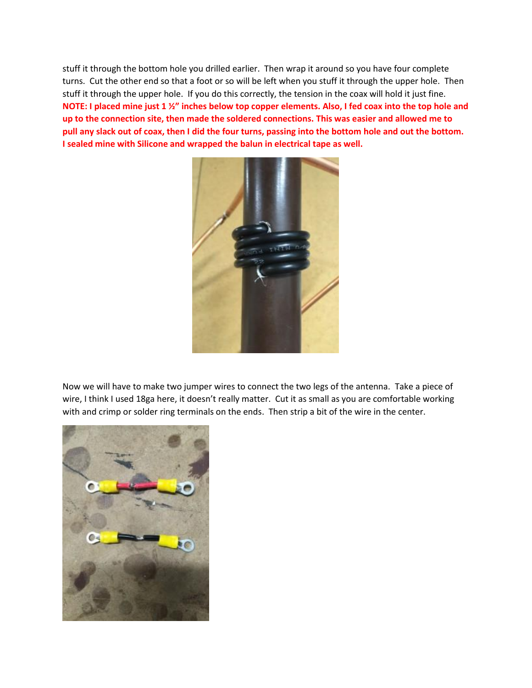stuff it through the bottom hole you drilled earlier. Then wrap it around so you have four complete turns. Cut the other end so that a foot or so will be left when you stuff it through the upper hole. Then stuff it through the upper hole. If you do this correctly, the tension in the coax will hold it just fine. **NOTE: I placed mine just 1 ½" inches below top copper elements. Also, I fed coax into the top hole and up to the connection site, then made the soldered connections. This was easier and allowed me to pull any slack out of coax, then I did the four turns, passing into the bottom hole and out the bottom. I sealed mine with Silicone and wrapped the balun in electrical tape as well.**



Now we will have to make two jumper wires to connect the two legs of the antenna. Take a piece of wire, I think I used 18ga here, it doesn't really matter. Cut it as small as you are comfortable working with and crimp or solder ring terminals on the ends. Then strip a bit of the wire in the center.

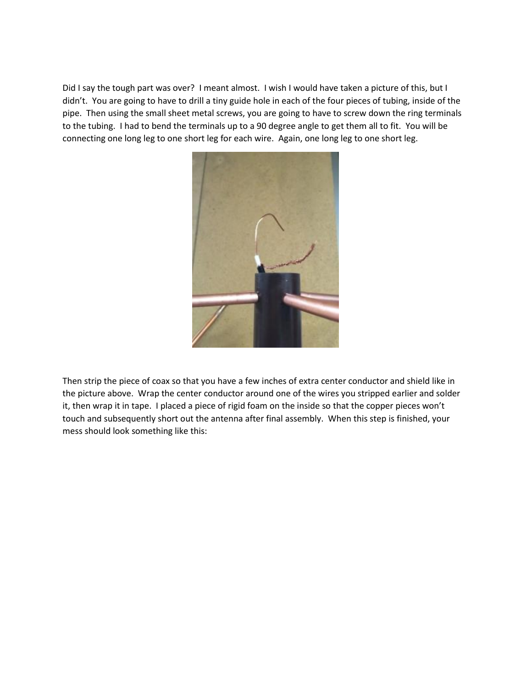Did I say the tough part was over? I meant almost. I wish I would have taken a picture of this, but I didn't. You are going to have to drill a tiny guide hole in each of the four pieces of tubing, inside of the pipe. Then using the small sheet metal screws, you are going to have to screw down the ring terminals to the tubing. I had to bend the terminals up to a 90 degree angle to get them all to fit. You will be connecting one long leg to one short leg for each wire. Again, one long leg to one short leg.



Then strip the piece of coax so that you have a few inches of extra center conductor and shield like in the picture above. Wrap the center conductor around one of the wires you stripped earlier and solder it, then wrap it in tape. I placed a piece of rigid foam on the inside so that the copper pieces won't touch and subsequently short out the antenna after final assembly. When this step is finished, your mess should look something like this: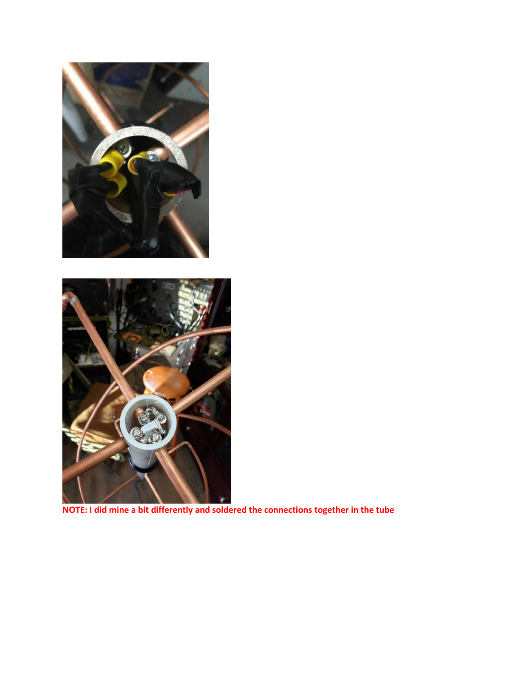



**NOTE: I did mine a bit differently and soldered the connections together in the tube**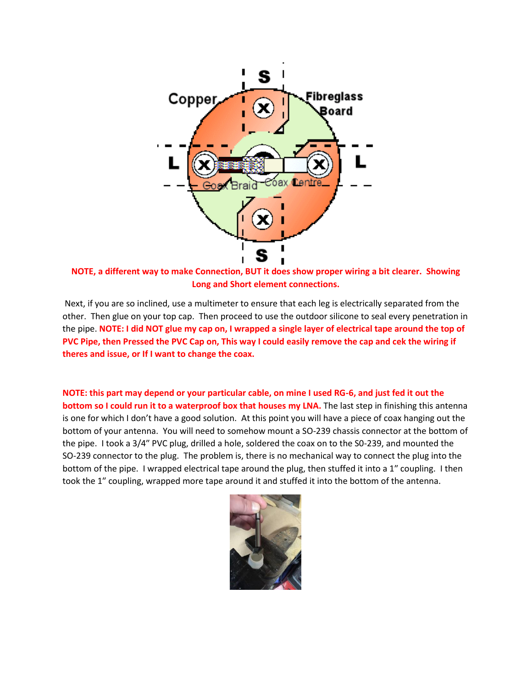

**NOTE, a different way to make Connection, BUT it does show proper wiring a bit clearer. Showing Long and Short element connections.**

Next, if you are so inclined, use a multimeter to ensure that each leg is electrically separated from the other. Then glue on your top cap. Then proceed to use the outdoor silicone to seal every penetration in the pipe. **NOTE: I did NOT glue my cap on, I wrapped a single layer of electrical tape around the top of PVC Pipe, then Pressed the PVC Cap on, This way I could easily remove the cap and cek the wiring if theres and issue, or If I want to change the coax.**

**NOTE: this part may depend or your particular cable, on mine I used RG-6, and just fed it out the bottom so I could run it to a waterproof box that houses my LNA. The last step in finishing this antenna** is one for which I don't have a good solution. At this point you will have a piece of coax hanging out the bottom of your antenna. You will need to somehow mount a SO-239 chassis connector at the bottom of the pipe. I took a 3/4″ PVC plug, drilled a hole, soldered the coax on to the S0-239, and mounted the SO-239 connector to the plug. The problem is, there is no mechanical way to connect the plug into the bottom of the pipe. I wrapped electrical tape around the plug, then stuffed it into a 1″ coupling. I then took the 1″ coupling, wrapped more tape around it and stuffed it into the bottom of the antenna.

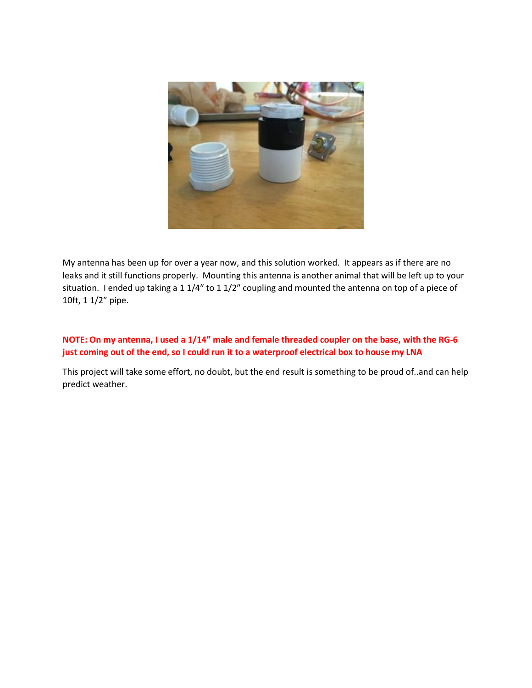

My antenna has been up for over a year now, and this solution worked. It appears as if there are no leaks and it still functions properly. Mounting this antenna is another animal that will be left up to your situation. I ended up taking a 1 1/4″ to 1 1/2″ coupling and mounted the antenna on top of a piece of 10ft, 1 1/2″ pipe.

### **NOTE: On my antenna, I used a 1/14" male and female threaded coupler on the base, with the RG-6 just coming out of the end, so I could run it to a waterproof electrical box to house my LNA**

This project will take some effort, no doubt, but the end result is something to be proud of..and can help predict weather.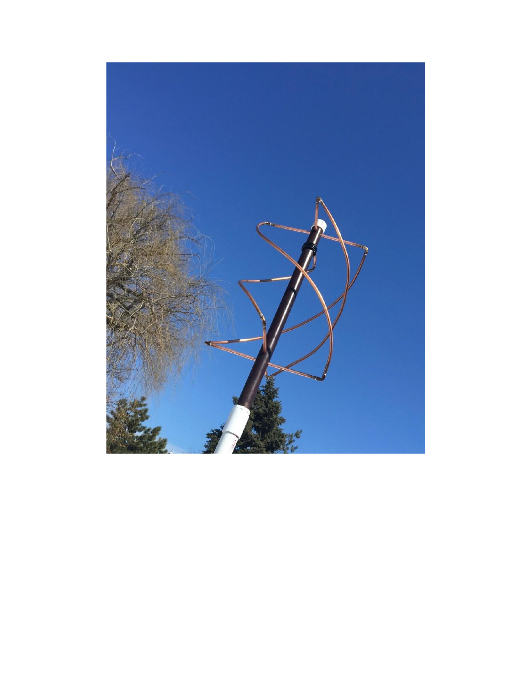